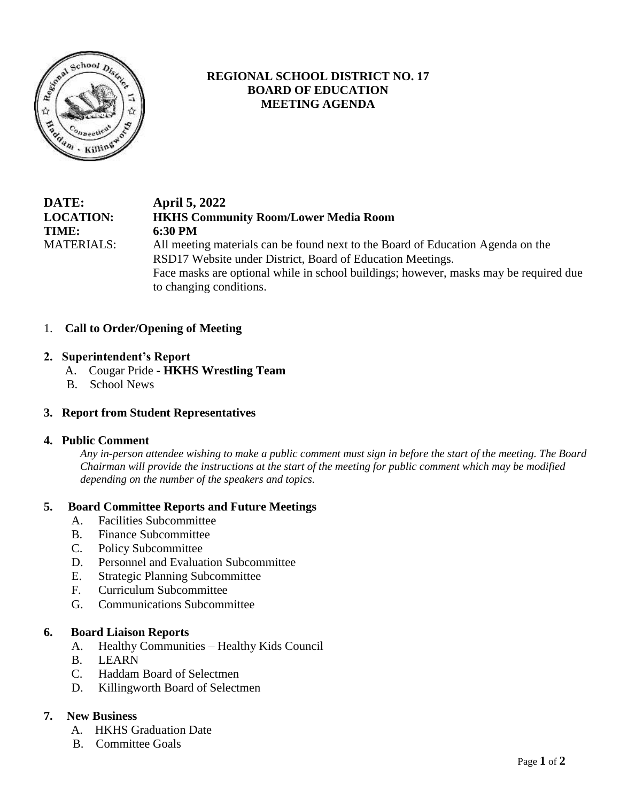

# **REGIONAL SCHOOL DISTRICT NO. 17 BOARD OF EDUCATION MEETING AGENDA**

## **DATE: April 5, 2022 LOCATION: HKHS Community Room/Lower Media Room TIME: 6:30 PM** MATERIALS: All meeting materials can be found next to the Board of Education Agenda on the RSD17 Website under District, Board of Education Meetings. Face masks are optional while in school buildings; however, masks may be required due to changing conditions.

## 1. **Call to Order/Opening of Meeting**

### **2. Superintendent's Report**

- A. Cougar Pride **- HKHS Wrestling Team**
- B.School News

#### **3. Report from Student Representatives**

#### **4. Public Comment**

*Any in-person attendee wishing to make a public comment must sign in before the start of the meeting. The Board Chairman will provide the instructions at the start of the meeting for public comment which may be modified depending on the number of the speakers and topics.*

### **5. Board Committee Reports and Future Meetings**

- A. Facilities Subcommittee
- B. Finance Subcommittee
- C. Policy Subcommittee
- D. Personnel and Evaluation Subcommittee
- E. Strategic Planning Subcommittee
- F. Curriculum Subcommittee
- G. Communications Subcommittee

#### **6. Board Liaison Reports**

- A. Healthy Communities Healthy Kids Council
- B. LEARN
- C. Haddam Board of Selectmen
- D. Killingworth Board of Selectmen

## **7. New Business**

- A. HKHS Graduation Date
- B. Committee Goals